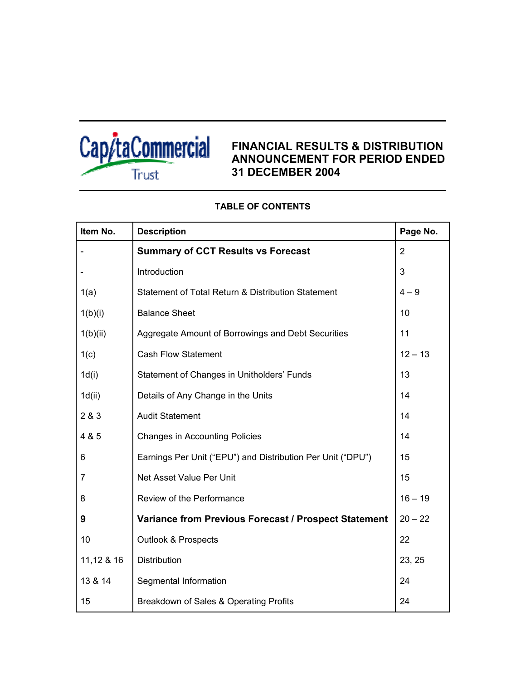

# **FINANCIAL RESULTS & DISTRIBUTION ANNOUNCEMENT FOR PERIOD ENDED 31 DECEMBER 2004**

| Item No.   | <b>Description</b>                                          | Page No.       |
|------------|-------------------------------------------------------------|----------------|
|            | <b>Summary of CCT Results vs Forecast</b>                   | $\overline{2}$ |
|            | Introduction                                                | 3              |
| 1(a)       | Statement of Total Return & Distribution Statement          | $4 - 9$        |
| 1(b)(i)    | <b>Balance Sheet</b>                                        | 10             |
| 1(b)(ii)   | Aggregate Amount of Borrowings and Debt Securities          | 11             |
| 1(c)       | <b>Cash Flow Statement</b>                                  | $12 - 13$      |
| 1d(i)      | Statement of Changes in Unitholders' Funds                  | 13             |
| 1d(ii)     | Details of Any Change in the Units                          | 14             |
| 2 & 3      | <b>Audit Statement</b>                                      | 14             |
| 4 & 5      | <b>Changes in Accounting Policies</b>                       | 14             |
| 6          | Earnings Per Unit ("EPU") and Distribution Per Unit ("DPU") | 15             |
| 7          | Net Asset Value Per Unit                                    | 15             |
| 8          | Review of the Performance                                   | $16 - 19$      |
| 9          | <b>Variance from Previous Forecast / Prospect Statement</b> | $20 - 22$      |
| 10         | <b>Outlook &amp; Prospects</b>                              | 22             |
| 11,12 & 16 | <b>Distribution</b>                                         | 23, 25         |
| 13 & 14    | Segmental Information                                       | 24             |
| 15         | Breakdown of Sales & Operating Profits                      | 24             |

# **TABLE OF CONTENTS**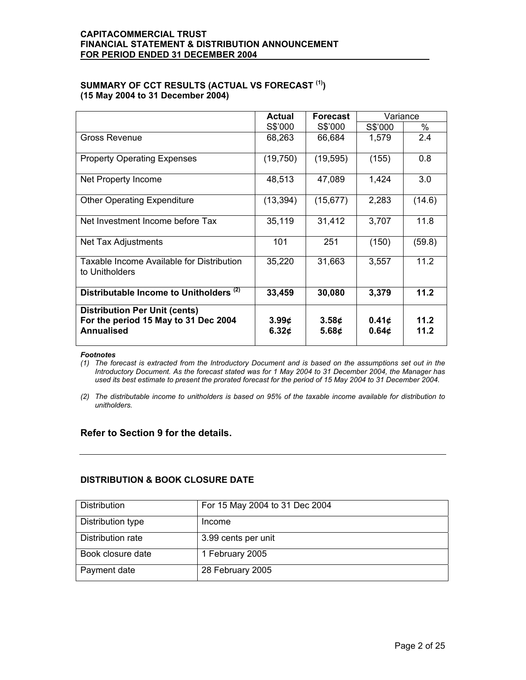# **SUMMARY OF CCT RESULTS (ACTUAL VS FORECAST (1)) (15 May 2004 to 31 December 2004)**

|                                                                                                   | Actual<br><b>Forecast</b>                     |                            | Variance                   |              |  |
|---------------------------------------------------------------------------------------------------|-----------------------------------------------|----------------------------|----------------------------|--------------|--|
|                                                                                                   | S\$'000                                       | S\$'000                    | S\$'000                    | ℅            |  |
| Gross Revenue                                                                                     | 68,263                                        | 66,684                     | 1,579                      | 2.4          |  |
| <b>Property Operating Expenses</b>                                                                | (19, 750)                                     | (19, 595)                  | (155)                      | 0.8          |  |
| Net Property Income                                                                               | 48,513                                        | 47,089                     | 1,424                      | 3.0          |  |
| <b>Other Operating Expenditure</b>                                                                | (13, 394)                                     | (15, 677)                  | 2,283                      | (14.6)       |  |
| Net Investment Income before Tax                                                                  | 35,119                                        | 31,412                     | 3,707                      | 11.8         |  |
| Net Tax Adjustments                                                                               | 101                                           | 251                        | (150)                      | (59.8)       |  |
| Taxable Income Available for Distribution<br>to Unitholders                                       | 35,220                                        | 31,663                     | 3,557                      | 11.2         |  |
| Distributable Income to Unitholders <sup>(2)</sup>                                                | 33,459                                        | 30,080                     | 3,379                      | 11.2         |  |
| <b>Distribution Per Unit (cents)</b><br>For the period 15 May to 31 Dec 2004<br><b>Annualised</b> | 3.99 <sub>¢</sub><br>6.32 $\boldsymbol{\phi}$ | 3.58¢<br>5.68 <sub>¢</sub> | 0.41c<br>0.64 <sub>c</sub> | 11.2<br>11.2 |  |

#### *Footnotes*

*(1) The forecast is extracted from the Introductory Document and is based on the assumptions set out in the Introductory Document. As the forecast stated was for 1 May 2004 to 31 December 2004, the Manager has used its best estimate to present the prorated forecast for the period of 15 May 2004 to 31 December 2004.* 

*(2) The distributable income to unitholders is based on 95% of the taxable income available for distribution to unitholders.* 

# **Refer to Section 9 for the details.**

# **DISTRIBUTION & BOOK CLOSURE DATE**

| Distribution      | For 15 May 2004 to 31 Dec 2004 |
|-------------------|--------------------------------|
| Distribution type | Income                         |
| Distribution rate | 3.99 cents per unit            |
| Book closure date | 1 February 2005                |
| Payment date      | 28 February 2005               |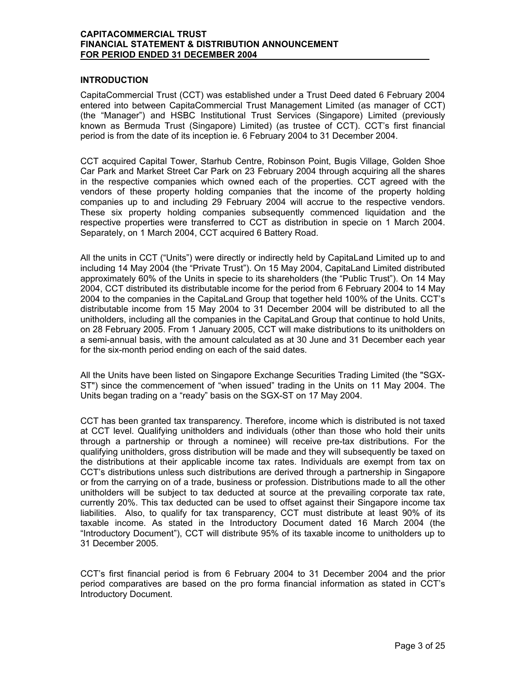### **INTRODUCTION**

CapitaCommercial Trust (CCT) was established under a Trust Deed dated 6 February 2004 entered into between CapitaCommercial Trust Management Limited (as manager of CCT) (the "Manager") and HSBC Institutional Trust Services (Singapore) Limited (previously known as Bermuda Trust (Singapore) Limited) (as trustee of CCT). CCT's first financial period is from the date of its inception ie. 6 February 2004 to 31 December 2004.

CCT acquired Capital Tower, Starhub Centre, Robinson Point, Bugis Village, Golden Shoe Car Park and Market Street Car Park on 23 February 2004 through acquiring all the shares in the respective companies which owned each of the properties. CCT agreed with the vendors of these property holding companies that the income of the property holding companies up to and including 29 February 2004 will accrue to the respective vendors. These six property holding companies subsequently commenced liquidation and the respective properties were transferred to CCT as distribution in specie on 1 March 2004. Separately, on 1 March 2004, CCT acquired 6 Battery Road.

All the units in CCT ("Units") were directly or indirectly held by CapitaLand Limited up to and including 14 May 2004 (the "Private Trust"). On 15 May 2004, CapitaLand Limited distributed approximately 60% of the Units in specie to its shareholders (the "Public Trust"). On 14 May 2004, CCT distributed its distributable income for the period from 6 February 2004 to 14 May 2004 to the companies in the CapitaLand Group that together held 100% of the Units. CCT's distributable income from 15 May 2004 to 31 December 2004 will be distributed to all the unitholders, including all the companies in the CapitaLand Group that continue to hold Units, on 28 February 2005. From 1 January 2005, CCT will make distributions to its unitholders on a semi-annual basis, with the amount calculated as at 30 June and 31 December each year for the six-month period ending on each of the said dates.

All the Units have been listed on Singapore Exchange Securities Trading Limited (the "SGX-ST") since the commencement of "when issued" trading in the Units on 11 May 2004. The Units began trading on a "ready" basis on the SGX-ST on 17 May 2004.

CCT has been granted tax transparency. Therefore, income which is distributed is not taxed at CCT level. Qualifying unitholders and individuals (other than those who hold their units through a partnership or through a nominee) will receive pre-tax distributions. For the qualifying unitholders, gross distribution will be made and they will subsequently be taxed on the distributions at their applicable income tax rates. Individuals are exempt from tax on CCT's distributions unless such distributions are derived through a partnership in Singapore or from the carrying on of a trade, business or profession. Distributions made to all the other unitholders will be subject to tax deducted at source at the prevailing corporate tax rate, currently 20%. This tax deducted can be used to offset against their Singapore income tax liabilities. Also, to qualify for tax transparency, CCT must distribute at least 90% of its taxable income. As stated in the Introductory Document dated 16 March 2004 (the "Introductory Document"), CCT will distribute 95% of its taxable income to unitholders up to 31 December 2005.

CCT's first financial period is from 6 February 2004 to 31 December 2004 and the prior period comparatives are based on the pro forma financial information as stated in CCT's Introductory Document.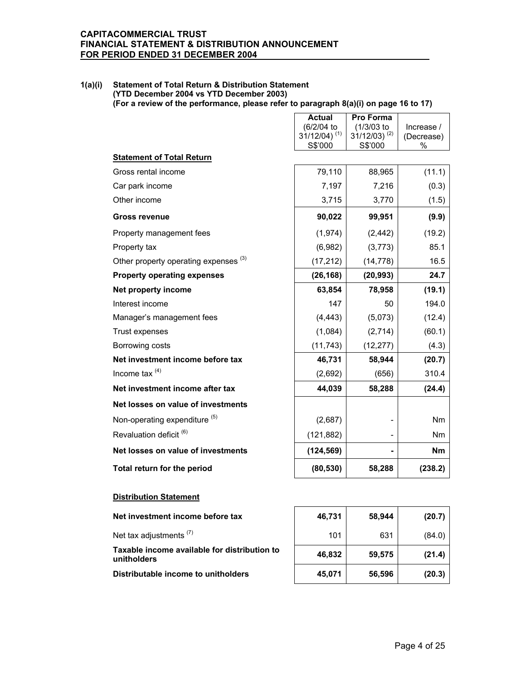### **1(a)(i) Statement of Total Return & Distribution Statement (YTD December 2004 vs YTD December 2003) (For a review of the performance, please refer to paragraph 8(a)(i) on page 16 to 17)**

|                                                  | <b>Actual</b><br>(6/2/04 to<br>$31/12/04$ ) <sup>(1)</sup><br>S\$'000 | Pro Forma<br>(1/3/03 to<br>$31/12/03$ ) <sup>(2)</sup><br>S\$'000 | Increase /<br>(Decrease)<br>% |
|--------------------------------------------------|-----------------------------------------------------------------------|-------------------------------------------------------------------|-------------------------------|
| <b>Statement of Total Return</b>                 |                                                                       |                                                                   |                               |
| Gross rental income                              | 79,110                                                                | 88,965                                                            | (11.1)                        |
| Car park income                                  | 7,197                                                                 | 7,216                                                             | (0.3)                         |
| Other income                                     | 3,715                                                                 | 3,770                                                             | (1.5)                         |
| <b>Gross revenue</b>                             | 90,022                                                                | 99,951                                                            | (9.9)                         |
| Property management fees                         | (1, 974)                                                              | (2, 442)                                                          | (19.2)                        |
| Property tax                                     | (6,982)                                                               | (3,773)                                                           | 85.1                          |
| Other property operating expenses <sup>(3)</sup> | (17, 212)                                                             | (14, 778)                                                         | 16.5                          |
| <b>Property operating expenses</b>               | (26, 168)                                                             | (20, 993)                                                         | 24.7                          |
| Net property income                              | 63,854                                                                | 78,958                                                            | (19.1)                        |
| Interest income                                  | 147                                                                   | 50                                                                | 194.0                         |
| Manager's management fees                        | (4, 443)                                                              | (5,073)                                                           | (12.4)                        |
| Trust expenses                                   | (1,084)                                                               | (2,714)                                                           | (60.1)                        |
| Borrowing costs                                  | (11, 743)                                                             | (12, 277)                                                         | (4.3)                         |
| Net investment income before tax                 | 46,731                                                                | 58,944                                                            | (20.7)                        |
| Income tax $(4)$                                 | (2,692)                                                               | (656)                                                             | 310.4                         |
| Net investment income after tax                  | 44,039                                                                | 58,288                                                            | (24.4)                        |
| Net losses on value of investments               |                                                                       |                                                                   |                               |
| Non-operating expenditure <sup>(5)</sup>         | (2,687)                                                               |                                                                   | Nm                            |
| Revaluation deficit <sup>(6)</sup>               | (121, 882)                                                            |                                                                   | Nm                            |
| Net losses on value of investments               | (124, 569)                                                            |                                                                   | <b>Nm</b>                     |
|                                                  |                                                                       |                                                                   | (238.2)                       |

**Net investment income before tax** 

Net tax adjustments  $(7)$ 

**Taxable income available for distribution to unitholders 46,832 59,575 (21.4)**

**Distributable income to unitholders 45,071 56,596 (20.3)**

| 46,731 | 58,944 | (20.7) |
|--------|--------|--------|
| 101    | 631    | (84.0) |
| 46,832 | 59,575 | (21.4) |
| 45,071 | 56,596 | (20.3) |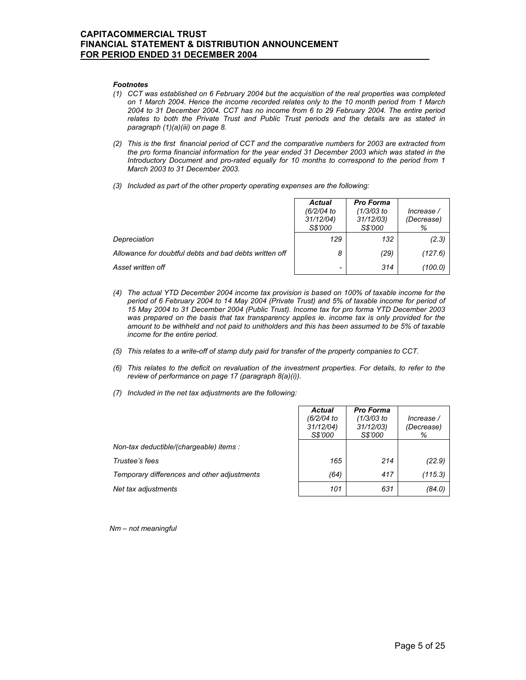#### *Footnotes*

- *(1) CCT was established on 6 February 2004 but the acquisition of the real properties was completed on 1 March 2004. Hence the income recorded relates only to the 10 month period from 1 March 2004 to 31 December 2004. CCT has no income from 6 to 29 February 2004. The entire period relates to both the Private Trust and Public Trust periods and the details are as stated in paragraph (1)(a)(iii) on page 8.*
- *(2) This is the first financial period of CCT and the comparative numbers for 2003 are extracted from the pro forma financial information for the year ended 31 December 2003 which was stated in the Introductory Document and pro-rated equally for 10 months to correspond to the period from 1 March 2003 to 31 December 2003.*
- *(3) Included as part of the other property operating expenses are the following:*

|                                                        | <b>Actual</b><br>(6/2/04 to<br>31/12/04<br>S\$'000 | <b>Pro Forma</b><br>(1/3/03 to<br>31/12/03<br>S\$'000 | Increase /<br>(Decrease)<br>% |
|--------------------------------------------------------|----------------------------------------------------|-------------------------------------------------------|-------------------------------|
| Depreciation                                           | 129                                                | 132                                                   | (2.3)                         |
| Allowance for doubtful debts and bad debts written off | 8                                                  | (29)                                                  | (127.6)                       |
| Asset written off                                      | $\qquad \qquad$                                    | 314                                                   | (100.0)                       |

- *(4) The actual YTD December 2004 income tax provision is based on 100% of taxable income for the period of 6 February 2004 to 14 May 2004 (Private Trust) and 5% of taxable income for period of 15 May 2004 to 31 December 2004 (Public Trust). Income tax for pro forma YTD December 2003 was prepared on the basis that tax transparency applies ie. income tax is only provided for the amount to be withheld and not paid to unitholders and this has been assumed to be 5% of taxable income for the entire period.*
- *(5) This relates to a write-off of stamp duty paid for transfer of the property companies to CCT.*
- *(6) This relates to the deficit on revaluation of the investment properties. For details, to refer to the review of performance on page 17 (paragraph 8(a)(i)).*
- *(7) Included in the net tax adjustments are the following:*

|                                             | Actual<br>(6/2/04 to<br>31/12/04<br>S\$'000 | <b>Pro Forma</b><br>(1/3/03 to<br>31/12/03)<br>S\$'000 | Increase /<br>(Decrease)<br>% |
|---------------------------------------------|---------------------------------------------|--------------------------------------------------------|-------------------------------|
| Non-tax deductible/(chargeable) items :     |                                             |                                                        |                               |
| Trustee's fees                              | 165                                         | 214                                                    | (22.9)                        |
| Temporary differences and other adjustments | (64)                                        | 417                                                    | (115.3)                       |
| Net tax adjustments                         | 101                                         | 631                                                    | (84.0)                        |

*Nm – not meaningful*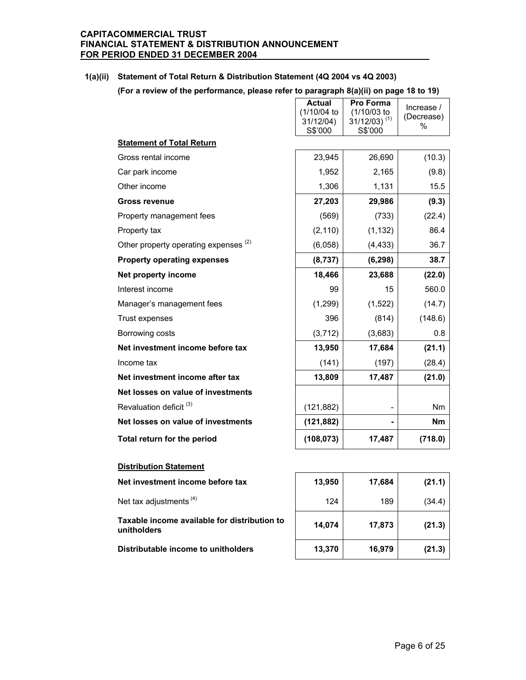### **1(a)(ii) Statement of Total Return & Distribution Statement (4Q 2004 vs 4Q 2003)**

|                                                  | <b>Actual</b><br>(1/10/04 to<br>31/12/04)<br>S\$'000 | Pro Forma<br>(1/10/03 to<br>$31/12/03$ ) <sup>(1)</sup><br>S\$'000 | Increase /<br>(Decrease)<br>% |
|--------------------------------------------------|------------------------------------------------------|--------------------------------------------------------------------|-------------------------------|
| <b>Statement of Total Return</b>                 |                                                      |                                                                    |                               |
| Gross rental income                              | 23,945                                               | 26,690                                                             | (10.3)                        |
| Car park income                                  | 1,952                                                | 2,165                                                              | (9.8)                         |
| Other income                                     | 1,306                                                | 1,131                                                              | 15.5                          |
| <b>Gross revenue</b>                             | 27,203                                               | 29,986                                                             | (9.3)                         |
| Property management fees                         | (569)                                                | (733)                                                              | (22.4)                        |
| Property tax                                     | (2, 110)                                             | (1, 132)                                                           | 86.4                          |
| Other property operating expenses <sup>(2)</sup> | (6,058)                                              | (4, 433)                                                           | 36.7                          |
| <b>Property operating expenses</b>               | (8, 737)                                             | (6, 298)                                                           | 38.7                          |
| Net property income                              | 18,466                                               | 23,688                                                             | (22.0)                        |
| Interest income                                  | 99                                                   | 15                                                                 | 560.0                         |
| Manager's management fees                        | (1, 299)                                             | (1,522)                                                            | (14.7)                        |
| Trust expenses                                   | 396                                                  | (814)                                                              | (148.6)                       |
| Borrowing costs                                  | (3, 712)                                             | (3,683)                                                            | 0.8                           |
| Net investment income before tax                 | 13,950                                               | 17,684                                                             | (21.1)                        |
| Income tax                                       | (141)                                                | (197)                                                              | (28.4)                        |
| Net investment income after tax                  | 13,809                                               | 17,487                                                             | (21.0)                        |
| Net losses on value of investments               |                                                      |                                                                    |                               |
| Revaluation deficit <sup>(3)</sup>               | (121, 882)                                           |                                                                    | <b>Nm</b>                     |
| Net losses on value of investments               | (121, 882)                                           |                                                                    | <b>Nm</b>                     |
| Total return for the period                      | (108, 073)                                           | 17,487                                                             | (718.0)                       |

### **Distribution Statement**

**Net investment income before tax** 

Net tax adjustments  $(4)$ 

**Taxable income available for distribution to unitholders 14,074 17,873 (21.3)**

**Distributable income to unitholders 13,370 16,979 (21.3)**

| 13,950 | 17,684 | (21.1) |
|--------|--------|--------|
| 124    | 189    | (34.4) |
| 14,074 | 17,873 | (21.3) |
| 13,370 | 16,979 | (21.3) |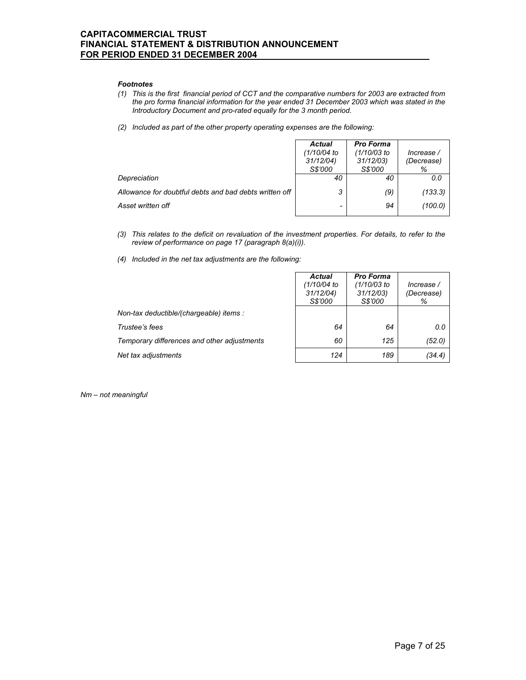#### *Footnotes*

- *(1) This is the first financial period of CCT and the comparative numbers for 2003 are extracted from the pro forma financial information for the year ended 31 December 2003 which was stated in the Introductory Document and pro-rated equally for the 3 month period.*
- *(2) Included as part of the other property operating expenses are the following:*

|                                                        | <b>Actual</b><br>(1/10/04 to<br>31/12/04<br>S\$'000 | <b>Pro Forma</b><br>(1/10/03 to<br>31/12/03<br>S\$'000 | Increase /<br>(Decrease)<br>% |
|--------------------------------------------------------|-----------------------------------------------------|--------------------------------------------------------|-------------------------------|
| Depreciation                                           | 40                                                  | 40                                                     | 0.0                           |
| Allowance for doubtful debts and bad debts written off | 3                                                   | (9)                                                    | (133.3)                       |
| Asset written off                                      | $\overline{\phantom{a}}$                            | 94                                                     | (100.0)                       |

- *(3) This relates to the deficit on revaluation of the investment properties. For details, to refer to the review of performance on page 17 (paragraph 8(a)(i)).*
- *(4) Included in the net tax adjustments are the following:*

|                                             | <b>Actual</b><br>(1/10/04 to<br>31/12/04<br>S\$'000 | <b>Pro Forma</b><br>(1/10/03 to<br>31/12/03<br>S\$'000 | Increase /<br>(Decrease)<br>% |
|---------------------------------------------|-----------------------------------------------------|--------------------------------------------------------|-------------------------------|
| Non-tax deductible/(chargeable) items :     |                                                     |                                                        |                               |
| Trustee's fees                              | 64                                                  | 64                                                     | 0.0                           |
| Temporary differences and other adjustments | 60                                                  | 125                                                    | (52.0)                        |
| Net tax adjustments                         | 124                                                 | 189                                                    | (34.4)                        |

*Nm – not meaningful*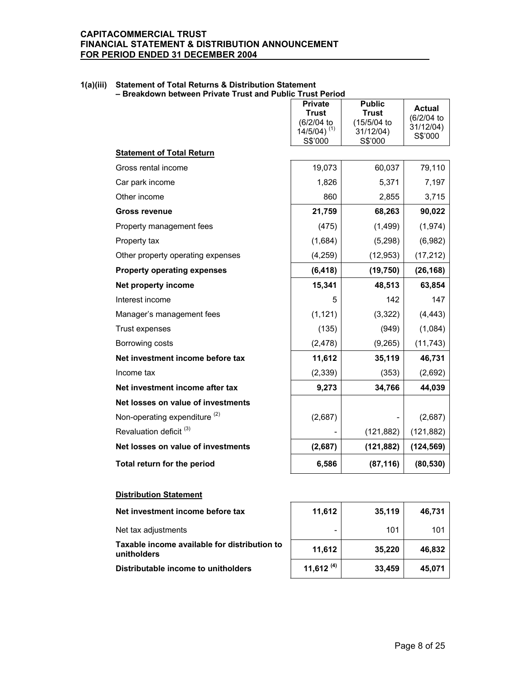**1(a)(iii) Statement of Total Returns & Distribution Statement – Breakdown between Private Trust and Public Trust Period** 

|                                          | <b>Private</b><br><b>Trust</b><br>(6/2/04 to<br>$14/5/04$ ) <sup>(1)</sup><br>S\$'000 | <b>Public</b><br><b>Trust</b><br>(15/5/04 to<br>31/12/04)<br>S\$'000 | <b>Actual</b><br>(6/2/04 to<br>31/12/04)<br>S\$'000 |
|------------------------------------------|---------------------------------------------------------------------------------------|----------------------------------------------------------------------|-----------------------------------------------------|
| <b>Statement of Total Return</b>         |                                                                                       |                                                                      |                                                     |
| Gross rental income                      | 19,073                                                                                | 60,037                                                               | 79,110                                              |
| Car park income                          | 1,826                                                                                 | 5,371                                                                | 7,197                                               |
| Other income                             | 860                                                                                   | 2,855                                                                | 3,715                                               |
| <b>Gross revenue</b>                     | 21,759                                                                                | 68,263                                                               | 90,022                                              |
| Property management fees                 | (475)                                                                                 | (1, 499)                                                             | (1, 974)                                            |
| Property tax                             | (1,684)                                                                               | (5,298)                                                              | (6,982)                                             |
| Other property operating expenses        | (4,259)                                                                               | (12, 953)                                                            | (17, 212)                                           |
| <b>Property operating expenses</b>       | (6, 418)                                                                              | (19, 750)                                                            | (26, 168)                                           |
| Net property income                      | 15,341                                                                                | 48,513                                                               | 63,854                                              |
| Interest income                          | 5                                                                                     | 142                                                                  | 147                                                 |
| Manager's management fees                | (1, 121)                                                                              | (3,322)                                                              | (4, 443)                                            |
| Trust expenses                           | (135)                                                                                 | (949)                                                                | (1,084)                                             |
| Borrowing costs                          | (2, 478)                                                                              | (9,265)                                                              | (11, 743)                                           |
| Net investment income before tax         | 11,612                                                                                | 35,119                                                               | 46,731                                              |
| Income tax                               | (2, 339)                                                                              | (353)                                                                | (2,692)                                             |
| Net investment income after tax          | 9,273                                                                                 | 34,766                                                               | 44,039                                              |
| Net losses on value of investments       |                                                                                       |                                                                      |                                                     |
| Non-operating expenditure <sup>(2)</sup> | (2,687)                                                                               |                                                                      | (2,687)                                             |
| Revaluation deficit <sup>(3)</sup>       |                                                                                       | (121, 882)                                                           | (121, 882)                                          |
| Net losses on value of investments       | (2,687)                                                                               | (121, 882)                                                           | (124, 569)                                          |
| Total return for the period              | 6,586                                                                                 | (87, 116)                                                            | (80, 530)                                           |

### **Distribution Statement**

| Net investment income before tax                            | 11,612       | 35,119 | 46,731 |
|-------------------------------------------------------------|--------------|--------|--------|
| Net tax adjustments                                         |              | 101    | 101    |
| Taxable income available for distribution to<br>unitholders | 11,612       | 35,220 | 46,832 |
| Distributable income to unitholders                         | 11,612 $(4)$ | 33,459 | 45,071 |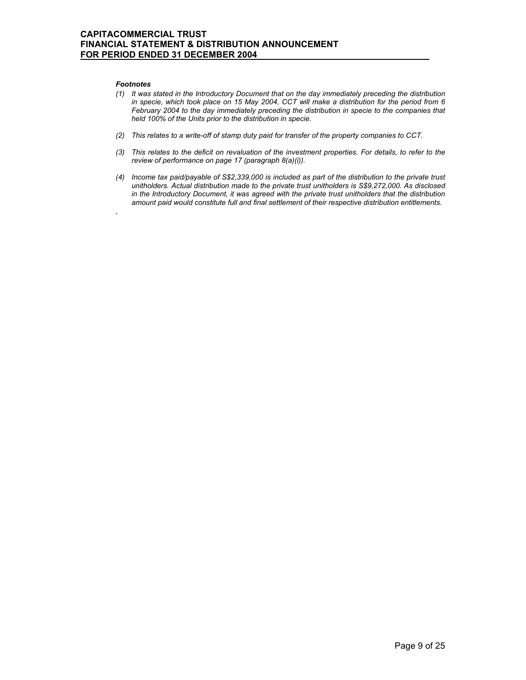#### *Footnotes*

*.*

- *(1) It was stated in the Introductory Document that on the day immediately preceding the distribution in specie, which took place on 15 May 2004, CCT will make a distribution for the period from 6 February 2004 to the day immediately preceding the distribution in specie to the companies that held 100% of the Units prior to the distribution in specie.*
- *(2) This relates to a write-off of stamp duty paid for transfer of the property companies to CCT.*
- *(3) This relates to the deficit on revaluation of the investment properties. For details, to refer to the review of performance on page 17 (paragraph 8(a)(i)).*
- *(4) Income tax paid/payable of S\$2,339,000 is included as part of the distribution to the private trust unitholders. Actual distribution made to the private trust unitholders is S\$9,272,000. As disclosed in the Introductory Document, it was agreed with the private trust unitholders that the distribution amount paid would constitute full and final settlement of their respective distribution entitlements.*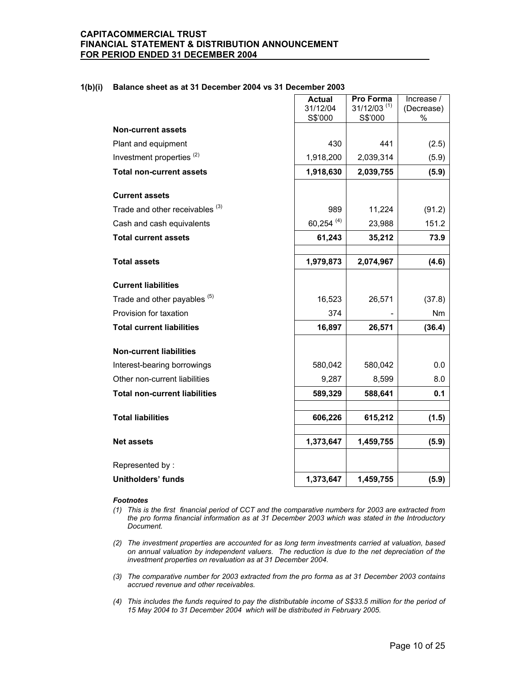|  | 1(b)(i) Balance sheet as at 31 December 2004 vs 31 December 2003 |
|--|------------------------------------------------------------------|
|--|------------------------------------------------------------------|

|                                            | <b>Actual</b>       | Pro Forma<br>$31/12/03$ <sup>(1)</sup> | Increase /      |
|--------------------------------------------|---------------------|----------------------------------------|-----------------|
|                                            | 31/12/04<br>S\$'000 | S\$'000                                | (Decrease)<br>% |
| <b>Non-current assets</b>                  |                     |                                        |                 |
| Plant and equipment                        | 430                 | 441                                    | (2.5)           |
| Investment properties <sup>(2)</sup>       | 1,918,200           | 2,039,314                              | (5.9)           |
| <b>Total non-current assets</b>            | 1,918,630           | 2,039,755                              | (5.9)           |
| <b>Current assets</b>                      |                     |                                        |                 |
| Trade and other receivables <sup>(3)</sup> | 989                 | 11,224                                 | (91.2)          |
| Cash and cash equivalents                  | 60,254 (4)          | 23,988                                 | 151.2           |
| <b>Total current assets</b>                | 61,243              | 35,212                                 | 73.9            |
|                                            |                     |                                        |                 |
| <b>Total assets</b>                        | 1,979,873           | 2,074,967                              | (4.6)           |
| <b>Current liabilities</b>                 |                     |                                        |                 |
| Trade and other payables (5)               | 16,523              | 26,571                                 | (37.8)          |
| Provision for taxation                     | 374                 |                                        | Nm              |
| <b>Total current liabilities</b>           | 16,897              | 26,571                                 | (36.4)          |
| <b>Non-current liabilities</b>             |                     |                                        |                 |
| Interest-bearing borrowings                | 580,042             | 580,042                                | 0.0             |
| Other non-current liabilities              | 9,287               | 8,599                                  | 8.0             |
| <b>Total non-current liabilities</b>       | 589,329             | 588,641                                | 0.1             |
| <b>Total liabilities</b>                   | 606,226             | 615,212                                | (1.5)           |
|                                            |                     |                                        |                 |
| <b>Net assets</b>                          | 1,373,647           | 1,459,755                              | (5.9)           |
| Represented by:                            |                     |                                        |                 |
| <b>Unitholders' funds</b>                  | 1,373,647           | 1,459,755                              | (5.9)           |

#### *Footnotes*

- *(1) This is the first financial period of CCT and the comparative numbers for 2003 are extracted from the pro forma financial information as at 31 December 2003 which was stated in the Introductory Document.*
- *(2) The investment properties are accounted for as long term investments carried at valuation, based on annual valuation by independent valuers. The reduction is due to the net depreciation of the investment properties on revaluation as at 31 December 2004.*
- *(3) The comparative number for 2003 extracted from the pro forma as at 31 December 2003 contains accrued revenue and other receivables.*
- *(4) This includes the funds required to pay the distributable income of S\$33.5 million for the period of 15 May 2004 to 31 December 2004 which will be distributed in February 2005.*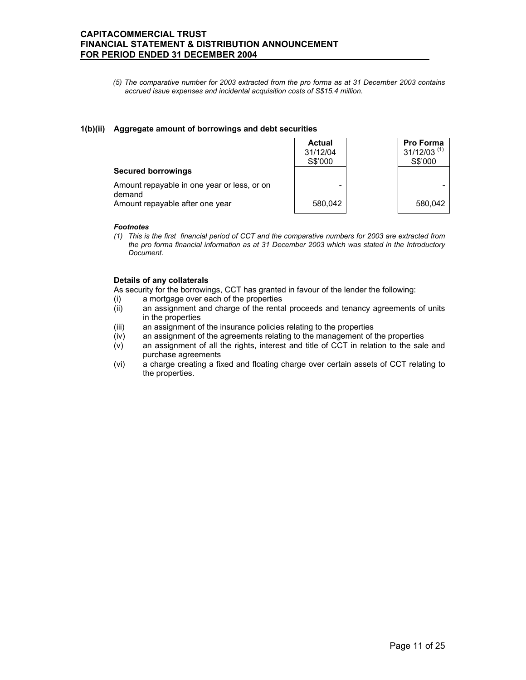*(5) The comparative number for 2003 extracted from the pro forma as at 31 December 2003 contains accrued issue expenses and incidental acquisition costs of S\$15.4 million.* 

### **1(b)(ii) Aggregate amount of borrowings and debt securities**

|                                                       | <b>Actual</b><br>31/12/04<br>S\$'000 | Pro Forma<br>$31/12/03$ <sup>(1)</sup><br>S\$'000 |
|-------------------------------------------------------|--------------------------------------|---------------------------------------------------|
| <b>Secured borrowings</b>                             |                                      |                                                   |
| Amount repayable in one year or less, or on<br>demand | -                                    |                                                   |
| Amount repayable after one year                       | 580.042                              | 580.042                                           |

#### *Footnotes*

*(1) This is the first financial period of CCT and the comparative numbers for 2003 are extracted from the pro forma financial information as at 31 December 2003 which was stated in the Introductory Document.* 

### **Details of any collaterals**

As security for the borrowings, CCT has granted in favour of the lender the following:

- (i) a mortgage over each of the properties
- (ii) an assignment and charge of the rental proceeds and tenancy agreements of units in the properties
- (iii) an assignment of the insurance policies relating to the properties
- (iv) an assignment of the agreements relating to the management of the properties
- (v) an assignment of all the rights, interest and title of CCT in relation to the sale and purchase agreements
- (vi) a charge creating a fixed and floating charge over certain assets of CCT relating to the properties.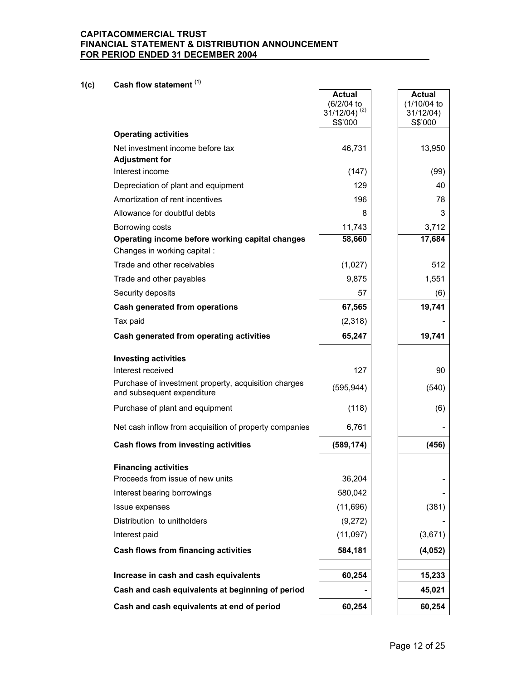# **1(c) Cash flow statement (1)**

|                                                                                    | <b>Actual</b><br>(6/2/04 to<br>$31/12/04$ ) <sup>(2)</sup><br>S\$'000 | <b>Actual</b><br>(1/10/04 to<br>31/12/04)<br>S\$'000 |
|------------------------------------------------------------------------------------|-----------------------------------------------------------------------|------------------------------------------------------|
| <b>Operating activities</b>                                                        |                                                                       |                                                      |
| Net investment income before tax<br><b>Adjustment for</b>                          | 46,731                                                                | 13,950                                               |
| Interest income                                                                    | (147)                                                                 | (99)                                                 |
| Depreciation of plant and equipment                                                | 129                                                                   | 40                                                   |
| Amortization of rent incentives                                                    | 196                                                                   | 78                                                   |
| Allowance for doubtful debts                                                       | 8                                                                     | 3                                                    |
| Borrowing costs                                                                    | 11,743                                                                | 3,712                                                |
| Operating income before working capital changes<br>Changes in working capital :    | 58,660                                                                | 17,684                                               |
| Trade and other receivables                                                        | (1,027)                                                               | 512                                                  |
| Trade and other payables                                                           | 9,875                                                                 | 1,551                                                |
| Security deposits                                                                  | 57                                                                    | (6)                                                  |
| Cash generated from operations                                                     | 67,565                                                                | 19,741                                               |
| Tax paid                                                                           | (2,318)                                                               |                                                      |
| Cash generated from operating activities                                           | 65,247                                                                | 19,741                                               |
| <b>Investing activities</b><br>Interest received                                   | 127                                                                   | 90                                                   |
| Purchase of investment property, acquisition charges<br>and subsequent expenditure | (595, 944)                                                            | (540)                                                |
| Purchase of plant and equipment                                                    | (118)                                                                 | (6)                                                  |
| Net cash inflow from acquisition of property companies                             | 6,761                                                                 |                                                      |
| Cash flows from investing activities                                               | (589, 174)                                                            | (456)                                                |
| <b>Financing activities</b><br>Proceeds from issue of new units                    | 36,204                                                                |                                                      |
| Interest bearing borrowings                                                        | 580,042                                                               |                                                      |
| Issue expenses                                                                     | (11,696)                                                              | (381)                                                |
| Distribution to unitholders                                                        | (9,272)                                                               |                                                      |
| Interest paid                                                                      | (11,097)                                                              | (3,671)                                              |
| Cash flows from financing activities                                               | 584,181                                                               | (4, 052)                                             |
| Increase in cash and cash equivalents                                              | 60,254                                                                | 15,233                                               |
| Cash and cash equivalents at beginning of period                                   |                                                                       | 45,021                                               |
| Cash and cash equivalents at end of period                                         | 60,254                                                                | 60,254                                               |
|                                                                                    |                                                                       |                                                      |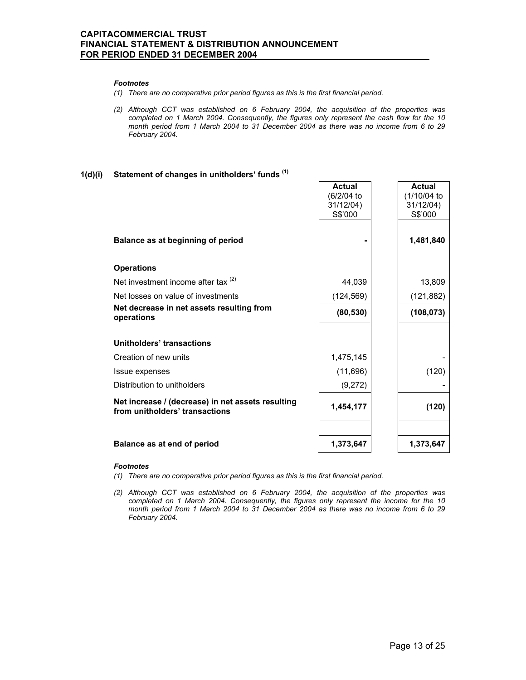#### *Footnotes*

- *(1) There are no comparative prior period figures as this is the first financial period.*
- *(2) Although CCT was established on 6 February 2004, the acquisition of the properties was completed on 1 March 2004. Consequently, the figures only represent the cash flow for the 10 month period from 1 March 2004 to 31 December 2004 as there was no income from 6 to 29 February 2004.*

# **1(d)(i) Statement of changes in unitholders' funds (1)**

|                                                                                     | <b>Actual</b><br>(6/2/04 to<br>31/12/04)<br>S\$'000 | <b>Actual</b><br>(1/10/04 to<br>31/12/04)<br>S\$'000 |
|-------------------------------------------------------------------------------------|-----------------------------------------------------|------------------------------------------------------|
| Balance as at beginning of period                                                   |                                                     | 1,481,840                                            |
| <b>Operations</b>                                                                   |                                                     |                                                      |
| Net investment income after tax $(2)$                                               | 44,039                                              | 13,809                                               |
| Net losses on value of investments                                                  | (124, 569)                                          | (121, 882)                                           |
| Net decrease in net assets resulting from<br>operations                             | (80, 530)                                           | (108, 073)                                           |
| Unitholders' transactions                                                           |                                                     |                                                      |
| Creation of new units                                                               | 1,475,145                                           |                                                      |
| Issue expenses                                                                      | (11,696)                                            | (120)                                                |
| Distribution to unitholders                                                         | (9,272)                                             |                                                      |
| Net increase / (decrease) in net assets resulting<br>from unitholders' transactions | 1,454,177                                           | (120)                                                |
| Balance as at end of period                                                         | 1,373,647                                           | 1,373,647                                            |

#### *Footnotes*

- *(1) There are no comparative prior period figures as this is the first financial period.*
- *(2) Although CCT was established on 6 February 2004, the acquisition of the properties was completed on 1 March 2004. Consequently, the figures only represent the income for the 10 month period from 1 March 2004 to 31 December 2004 as there was no income from 6 to 29 February 2004.*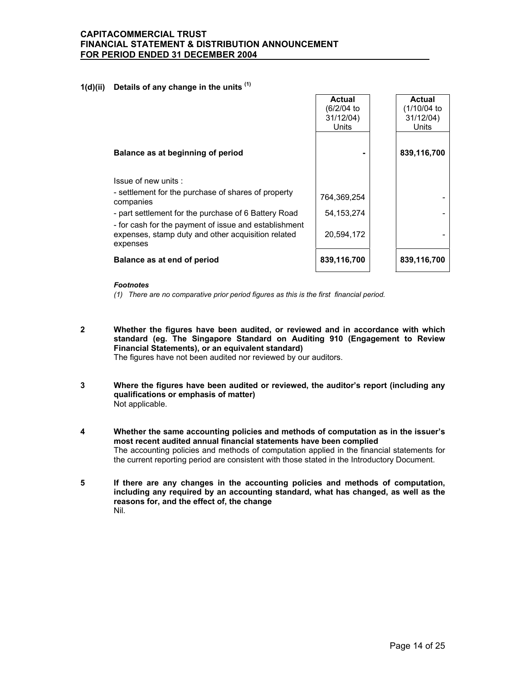### **1(d)(ii) Details of any change in the units (1)**

|                                                                                                                                                                                                                                                                            | Actual<br>(6/2/04 to<br>31/12/04)<br>Units | Actual<br>(1/10/04 to<br>31/12/04)<br>Units |
|----------------------------------------------------------------------------------------------------------------------------------------------------------------------------------------------------------------------------------------------------------------------------|--------------------------------------------|---------------------------------------------|
| Balance as at beginning of period                                                                                                                                                                                                                                          |                                            | 839,116,700                                 |
| Issue of new units:<br>- settlement for the purchase of shares of property<br>companies<br>- part settlement for the purchase of 6 Battery Road<br>- for cash for the payment of issue and establishment<br>expenses, stamp duty and other acquisition related<br>expenses | 764,369,254<br>54, 153, 274<br>20,594,172  |                                             |
| Balance as at end of period                                                                                                                                                                                                                                                | 839,116,700                                | 839,116,700                                 |

#### *Footnotes*

*(1) There are no comparative prior period figures as this is the first financial period.* 

- **2 Whether the figures have been audited, or reviewed and in accordance with which standard (eg. The Singapore Standard on Auditing 910 (Engagement to Review Financial Statements), or an equivalent standard)**  The figures have not been audited nor reviewed by our auditors.
- **3 Where the figures have been audited or reviewed, the auditor's report (including any qualifications or emphasis of matter)**  Not applicable.
- **4 Whether the same accounting policies and methods of computation as in the issuer's most recent audited annual financial statements have been complied**  The accounting policies and methods of computation applied in the financial statements for the current reporting period are consistent with those stated in the Introductory Document.
- **5 If there are any changes in the accounting policies and methods of computation, including any required by an accounting standard, what has changed, as well as the reasons for, and the effect of, the change**  Nil.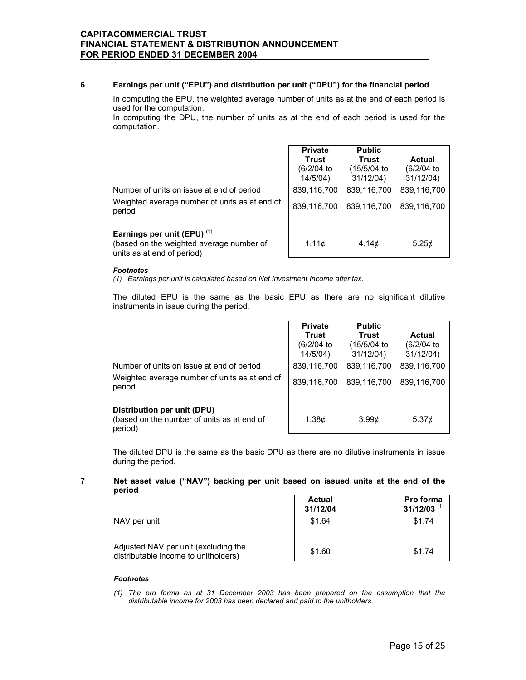### **6 Earnings per unit ("EPU") and distribution per unit ("DPU") for the financial period**

 In computing the EPU, the weighted average number of units as at the end of each period is used for the computation.

 In computing the DPU, the number of units as at the end of each period is used for the computation.

|                                                                                                                  | <b>Private</b><br>Trust<br>(6/2/04)<br>14/5/04 | <b>Public</b><br>Trust<br>(15/5/04 to<br>31/12/04 | Actual<br>(6/2/04 to<br>31/12/04 |
|------------------------------------------------------------------------------------------------------------------|------------------------------------------------|---------------------------------------------------|----------------------------------|
| Number of units on issue at end of period<br>Weighted average number of units as at end of<br>period             | 839,116,700<br>839,116,700                     | 839,116,700<br>839,116,700                        | 839,116,700<br>839.116.700       |
| Earnings per unit (EPU) <sup>(1)</sup><br>(based on the weighted average number of<br>units as at end of period) | 1.11c                                          | 4.14 <sub>c</sub>                                 | 5.25c                            |

#### *Footnotes*

*(1) Earnings per unit is calculated based on Net Investment Income after tax.* 

 The diluted EPU is the same as the basic EPU as there are no significant dilutive instruments in issue during the period.

|                                                                                                      | <b>Private</b><br>Trust<br>(6/2/04)<br>14/5/04) | <b>Public</b><br>Trust<br>(15/5/04 to<br>31/12/04 | Actual<br>(6/2/04 to<br>31/12/04) |
|------------------------------------------------------------------------------------------------------|-------------------------------------------------|---------------------------------------------------|-----------------------------------|
| Number of units on issue at end of period<br>Weighted average number of units as at end of<br>period | 839,116,700<br>839.116.700                      | 839,116,700<br>839.116.700                        | 839,116,700<br>839.116.700        |
| Distribution per unit (DPU)<br>(based on the number of units as at end of<br>period)                 | 1.38 <sub>c</sub>                               | 3.99 <sub>c</sub>                                 | 5.37 <sub>c</sub>                 |

 The diluted DPU is the same as the basic DPU as there are no dilutive instruments in issue during the period.

### **7 Net asset value ("NAV") backing per unit based on issued units at the end of the period**

|                                                                              | <b>Actual</b><br>31/12/04 | Pro forma<br>$31/12/03$ <sup>(1)</sup> |
|------------------------------------------------------------------------------|---------------------------|----------------------------------------|
| NAV per unit                                                                 | \$1.64                    | \$1.74                                 |
| Adjusted NAV per unit (excluding the<br>distributable income to unitholders) | \$1.60                    | \$1.74                                 |

#### *Footnotes*

*(1) The pro forma as at 31 December 2003 has been prepared on the assumption that the distributable income for 2003 has been declared and paid to the unitholders.*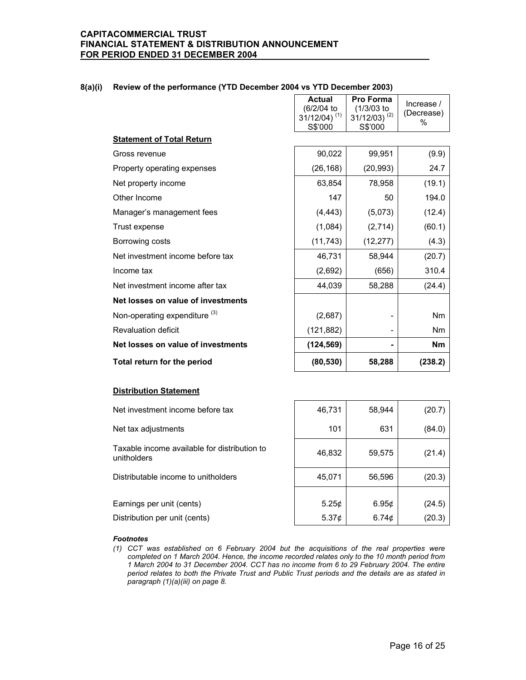|                                          | <b>Actual</b><br>(6/2/04 to<br>$31/12/04$ ) <sup>(1)</sup><br>S\$'000 | Pro Forma<br>$(1/3/03)$ to<br>$31/12/03$ ) <sup>(2)</sup><br>S\$'000 | Increase /<br>(Decrease)<br>% |
|------------------------------------------|-----------------------------------------------------------------------|----------------------------------------------------------------------|-------------------------------|
| <b>Statement of Total Return</b>         |                                                                       |                                                                      |                               |
| Gross revenue                            | 90,022                                                                | 99,951                                                               | (9.9)                         |
| Property operating expenses              | (26, 168)                                                             | (20, 993)                                                            | 24.7                          |
| Net property income                      | 63,854                                                                | 78,958                                                               | (19.1)                        |
| Other Income                             | 147                                                                   | 50                                                                   | 194.0                         |
| Manager's management fees                | (4, 443)                                                              | (5,073)                                                              | (12.4)                        |
| Trust expense                            | (1,084)                                                               | (2,714)                                                              | (60.1)                        |
| Borrowing costs                          | (11, 743)                                                             | (12, 277)                                                            | (4.3)                         |
| Net investment income before tax         | 46,731                                                                | 58.944                                                               | (20.7)                        |
| Income tax                               | (2,692)                                                               | (656)                                                                | 310.4                         |
| Net investment income after tax          | 44,039                                                                | 58,288                                                               | (24.4)                        |
| Net losses on value of investments       |                                                                       |                                                                      |                               |
| Non-operating expenditure <sup>(3)</sup> | (2,687)                                                               |                                                                      | N <sub>m</sub>                |
| <b>Revaluation deficit</b>               | (121, 882)                                                            |                                                                      | Nm                            |
| Net losses on value of investments       | (124, 569)                                                            |                                                                      | <b>Nm</b>                     |
| Total return for the period              | (80, 530)                                                             | 58,288                                                               | (238.2)                       |

### **8(a)(i) Review of the performance (YTD December 2004 vs YTD December 2003)**

#### **Distribution Statement**

| Net investment income before tax                            | 46,731            | 58,944            | (20.7) |
|-------------------------------------------------------------|-------------------|-------------------|--------|
| Net tax adjustments                                         | 101               | 631               | (84.0) |
| Taxable income available for distribution to<br>unitholders | 46,832            | 59,575            | (21.4) |
| Distributable income to unitholders                         | 45,071            | 56,596            | (20.3) |
|                                                             |                   |                   |        |
| Earnings per unit (cents)                                   | 5.25¢             | 6.95 <sub>c</sub> | (24.5) |
| Distribution per unit (cents)                               | 5.37 <sub>c</sub> | 6.74 $\phi$       | (20.3) |
|                                                             |                   |                   |        |

#### *Footnotes*

*(1) CCT was established on 6 February 2004 but the acquisitions of the real properties were completed on 1 March 2004. Hence, the income recorded relates only to the 10 month period from 1 March 2004 to 31 December 2004. CCT has no income from 6 to 29 February 2004. The entire period relates to both the Private Trust and Public Trust periods and the details are as stated in paragraph (1)(a)(iii) on page 8.*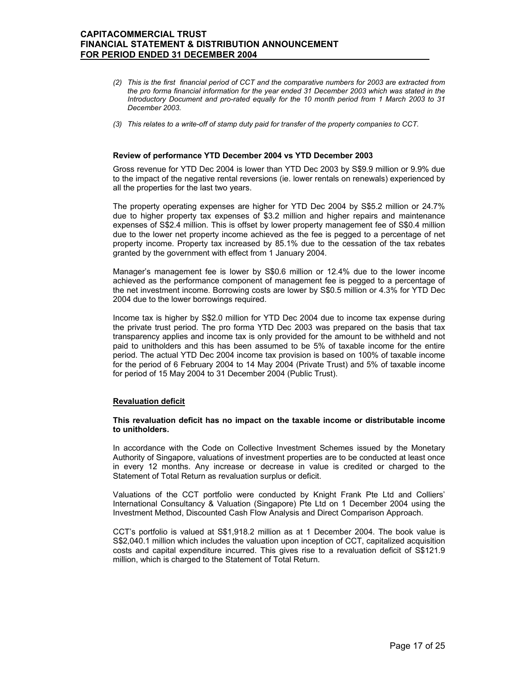- *(2) This is the first financial period of CCT and the comparative numbers for 2003 are extracted from the pro forma financial information for the year ended 31 December 2003 which was stated in the Introductory Document and pro-rated equally for the 10 month period from 1 March 2003 to 31 December 2003.*
- *(3) This relates to a write-off of stamp duty paid for transfer of the property companies to CCT.*

#### **Review of performance YTD December 2004 vs YTD December 2003**

 Gross revenue for YTD Dec 2004 is lower than YTD Dec 2003 by S\$9.9 million or 9.9% due to the impact of the negative rental reversions (ie. lower rentals on renewals) experienced by all the properties for the last two years.

The property operating expenses are higher for YTD Dec 2004 by S\$5.2 million or 24.7% due to higher property tax expenses of \$3.2 million and higher repairs and maintenance expenses of S\$2.4 million. This is offset by lower property management fee of S\$0.4 million due to the lower net property income achieved as the fee is pegged to a percentage of net property income. Property tax increased by 85.1% due to the cessation of the tax rebates granted by the government with effect from 1 January 2004.

Manager's management fee is lower by S\$0.6 million or 12.4% due to the lower income achieved as the performance component of management fee is pegged to a percentage of the net investment income. Borrowing costs are lower by S\$0.5 million or 4.3% for YTD Dec 2004 due to the lower borrowings required.

Income tax is higher by S\$2.0 million for YTD Dec 2004 due to income tax expense during the private trust period. The pro forma YTD Dec 2003 was prepared on the basis that tax transparency applies and income tax is only provided for the amount to be withheld and not paid to unitholders and this has been assumed to be 5% of taxable income for the entire period. The actual YTD Dec 2004 income tax provision is based on 100% of taxable income for the period of 6 February 2004 to 14 May 2004 (Private Trust) and 5% of taxable income for period of 15 May 2004 to 31 December 2004 (Public Trust).

#### **Revaluation deficit**

#### **This revaluation deficit has no impact on the taxable income or distributable income to unitholders.**

In accordance with the Code on Collective Investment Schemes issued by the Monetary Authority of Singapore, valuations of investment properties are to be conducted at least once in every 12 months. Any increase or decrease in value is credited or charged to the Statement of Total Return as revaluation surplus or deficit.

Valuations of the CCT portfolio were conducted by Knight Frank Pte Ltd and Colliers' International Consultancy & Valuation (Singapore) Pte Ltd on 1 December 2004 using the Investment Method, Discounted Cash Flow Analysis and Direct Comparison Approach.

CCT's portfolio is valued at S\$1,918.2 million as at 1 December 2004. The book value is S\$2,040.1 million which includes the valuation upon inception of CCT, capitalized acquisition costs and capital expenditure incurred. This gives rise to a revaluation deficit of S\$121.9 million, which is charged to the Statement of Total Return.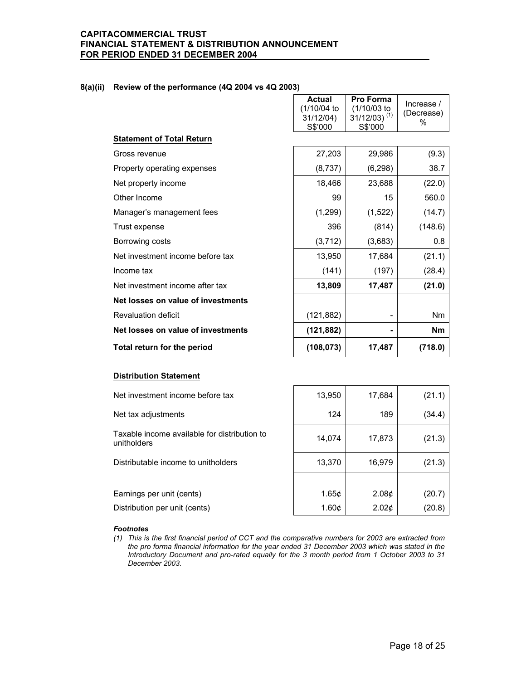### **8(a)(ii) Review of the performance (4Q 2004 vs 4Q 2003)**

|                                    | <b>Actual</b><br>(1/10/04 to<br>31/12/04)<br>S\$'000 | Pro Forma<br>(1/10/03 to<br>$31/12/03$ ) <sup>(1)</sup><br>S\$'000 | Increase /<br>(Decrease)<br>% |
|------------------------------------|------------------------------------------------------|--------------------------------------------------------------------|-------------------------------|
| <b>Statement of Total Return</b>   |                                                      |                                                                    |                               |
| Gross revenue                      | 27,203                                               | 29,986                                                             | (9.3)                         |
| Property operating expenses        | (8,737)                                              | (6, 298)                                                           | 38.7                          |
| Net property income                | 18,466                                               | 23,688                                                             | (22.0)                        |
| Other Income                       | 99                                                   | 15                                                                 | 560.0                         |
| Manager's management fees          | (1,299)                                              | (1,522)                                                            | (14.7)                        |
| Trust expense                      | 396                                                  | (814)                                                              | (148.6)                       |
| Borrowing costs                    | (3, 712)                                             | (3,683)                                                            | 0.8                           |
| Net investment income before tax   | 13,950                                               | 17,684                                                             | (21.1)                        |
| Income tax                         | (141)                                                | (197)                                                              | (28.4)                        |
| Net investment income after tax    | 13,809                                               | 17,487                                                             | (21.0)                        |
| Net losses on value of investments |                                                      |                                                                    |                               |
| <b>Revaluation deficit</b>         | (121, 882)                                           |                                                                    | Nm                            |
| Net losses on value of investments | (121, 882)                                           | $\blacksquare$                                                     | <b>Nm</b>                     |
| Total return for the period        | (108, 073)                                           | 17,487                                                             | (718.0)                       |

#### **Distribution Statement**

| Net investment income before tax                            | 13,950            | 17,684            | (21.1) |
|-------------------------------------------------------------|-------------------|-------------------|--------|
| Net tax adjustments                                         | 124               | 189               | (34.4) |
| Taxable income available for distribution to<br>unitholders | 14,074            | 17,873            | (21.3) |
| Distributable income to unitholders                         | 13,370            | 16,979            | (21.3) |
|                                                             |                   |                   |        |
| Earnings per unit (cents)                                   | 1.65c             | 2.08 <sub>c</sub> | (20.7) |
| Distribution per unit (cents)                               | 1.60 <sub>c</sub> | 2.02 <sub>c</sub> | (20.8) |

### *Footnotes*

*(1) This is the first financial period of CCT and the comparative numbers for 2003 are extracted from the pro forma financial information for the year ended 31 December 2003 which was stated in the Introductory Document and pro-rated equally for the 3 month period from 1 October 2003 to 31 December 2003.*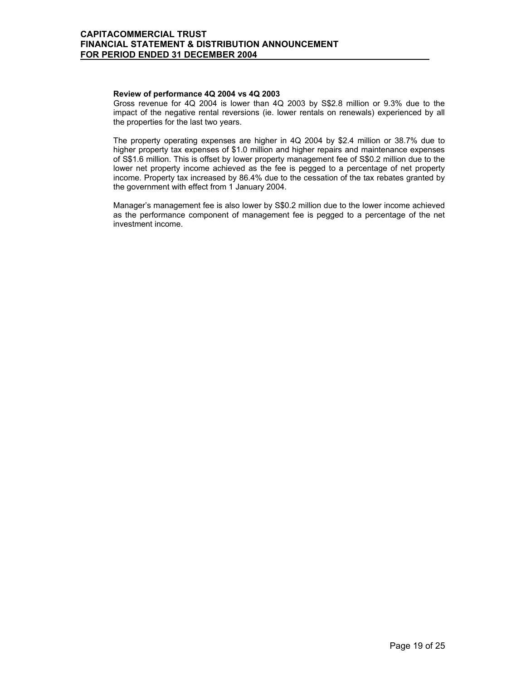### **Review of performance 4Q 2004 vs 4Q 2003**

 Gross revenue for 4Q 2004 is lower than 4Q 2003 by S\$2.8 million or 9.3% due to the impact of the negative rental reversions (ie. lower rentals on renewals) experienced by all the properties for the last two years.

The property operating expenses are higher in 4Q 2004 by \$2.4 million or 38.7% due to higher property tax expenses of \$1.0 million and higher repairs and maintenance expenses of S\$1.6 million. This is offset by lower property management fee of S\$0.2 million due to the lower net property income achieved as the fee is pegged to a percentage of net property income. Property tax increased by 86.4% due to the cessation of the tax rebates granted by the government with effect from 1 January 2004.

Manager's management fee is also lower by S\$0.2 million due to the lower income achieved as the performance component of management fee is pegged to a percentage of the net investment income.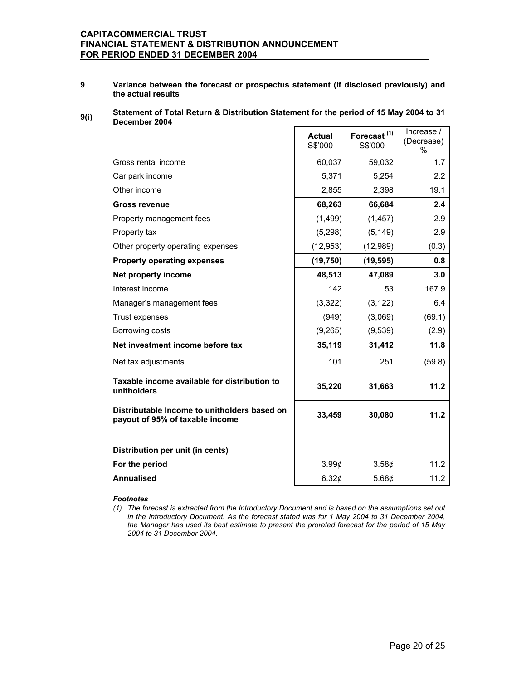**9 Variance between the forecast or prospectus statement (if disclosed previously) and the actual results** 

#### **9(i) Statement of Total Return & Distribution Statement for the period of 15 May 2004 to 31 December 2004**   $\mathbf{r}$

|                                                                                 | <b>Actual</b><br>S\$'000 | Forecast <sup>(1)</sup><br>S\$'000 | Increase /<br>(Decrease)<br>$\%$ |
|---------------------------------------------------------------------------------|--------------------------|------------------------------------|----------------------------------|
| Gross rental income                                                             | 60,037                   | 59,032                             | 1.7                              |
| Car park income                                                                 | 5,371                    | 5,254                              | 2.2                              |
| Other income                                                                    | 2,855                    | 2,398                              | 19.1                             |
| <b>Gross revenue</b>                                                            | 68,263                   | 66,684                             | 2.4                              |
| Property management fees                                                        | (1, 499)                 | (1, 457)                           | 2.9                              |
| Property tax                                                                    | (5, 298)                 | (5, 149)                           | 2.9                              |
| Other property operating expenses                                               | (12, 953)                | (12,989)                           | (0.3)                            |
| <b>Property operating expenses</b>                                              | (19, 750)                | (19, 595)                          | 0.8                              |
| Net property income                                                             | 48,513                   | 47,089                             | 3.0                              |
| Interest income                                                                 | 142                      | 53                                 | 167.9                            |
| Manager's management fees                                                       | (3,322)                  | (3, 122)                           | 6.4                              |
| Trust expenses                                                                  | (949)                    | (3,069)                            | (69.1)                           |
| Borrowing costs                                                                 | (9,265)                  | (9, 539)                           | (2.9)                            |
| Net investment income before tax                                                | 35,119                   | 31,412                             | 11.8                             |
| Net tax adjustments                                                             | 101                      | 251                                | (59.8)                           |
| Taxable income available for distribution to<br>unitholders                     | 35,220                   | 31,663                             | 11.2                             |
| Distributable Income to unitholders based on<br>payout of 95% of taxable income | 33,459                   | 30,080                             | 11.2                             |
|                                                                                 |                          |                                    |                                  |
| Distribution per unit (in cents)                                                |                          |                                    |                                  |
| For the period                                                                  | $3.99\textcirc$          | 3.58¢                              | 11.2                             |
| <b>Annualised</b>                                                               | 6.32¢                    | 5.68 $\phi$                        | 11.2                             |

#### *Footnotes*

*(1) The forecast is extracted from the Introductory Document and is based on the assumptions set out in the Introductory Document. As the forecast stated was for 1 May 2004 to 31 December 2004, the Manager has used its best estimate to present the prorated forecast for the period of 15 May 2004 to 31 December 2004.*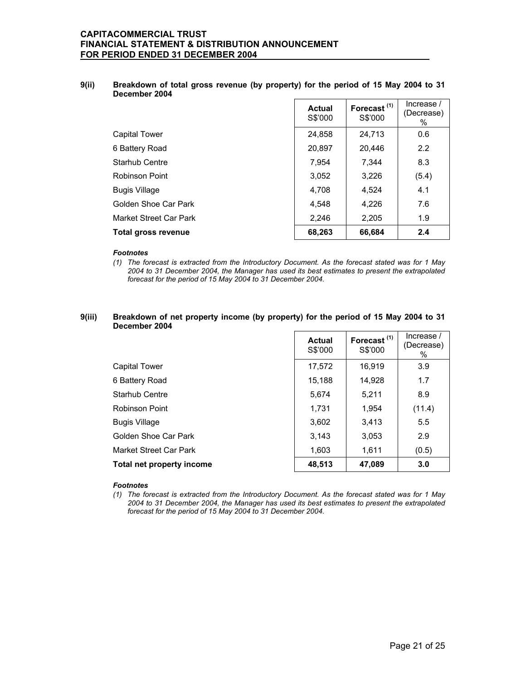### **9(ii) Breakdown of total gross revenue (by property) for the period of 15 May 2004 to 31 December 2004**

|                        | Actual<br>S\$'000 | Forecast <sup>(1)</sup><br>S\$'000 | Increase /<br>(Decrease)<br>℅ |
|------------------------|-------------------|------------------------------------|-------------------------------|
| <b>Capital Tower</b>   | 24,858            | 24,713                             | 0.6                           |
| 6 Battery Road         | 20,897            | 20,446                             | 2.2                           |
| Starhub Centre         | 7.954             | 7.344                              | 8.3                           |
| Robinson Point         | 3,052             | 3,226                              | (5.4)                         |
| <b>Bugis Village</b>   | 4,708             | 4,524                              | 4.1                           |
| Golden Shoe Car Park   | 4.548             | 4.226                              | 7.6                           |
| Market Street Car Park | 2,246             | 2,205                              | 1.9                           |
| Total gross revenue    | 68,263            | 66,684                             | 2.4                           |

#### *Footnotes*

*(1) The forecast is extracted from the Introductory Document. As the forecast stated was for 1 May 2004 to 31 December 2004, the Manager has used its best estimates to present the extrapolated forecast for the period of 15 May 2004 to 31 December 2004.* 

#### **9(iii) Breakdown of net property income (by property) for the period of 15 May 2004 to 31 December 2004**

|                           | Actual<br>S\$'000 | Forecast <sup>(1)</sup><br>S\$'000 | Increase /<br>(Decrease)<br>% |
|---------------------------|-------------------|------------------------------------|-------------------------------|
| Capital Tower             | 17,572            | 16.919                             | 3.9                           |
| 6 Battery Road            | 15,188            | 14,928                             | 1.7                           |
| Starhub Centre            | 5,674             | 5,211                              | 8.9                           |
| Robinson Point            | 1.731             | 1.954                              | (11.4)                        |
| <b>Bugis Village</b>      | 3,602             | 3,413                              | 5.5                           |
| Golden Shoe Car Park      | 3.143             | 3,053                              | 2.9                           |
| Market Street Car Park    | 1,603             | 1,611                              | (0.5)                         |
| Total net property income | 48,513            | 47,089                             | 3.0                           |

#### *Footnotes*

*(1) The forecast is extracted from the Introductory Document. As the forecast stated was for 1 May 2004 to 31 December 2004, the Manager has used its best estimates to present the extrapolated forecast for the period of 15 May 2004 to 31 December 2004.*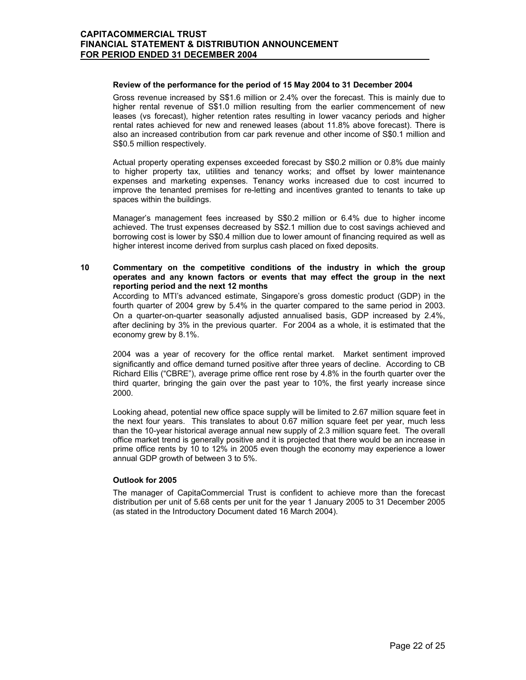#### **Review of the performance for the period of 15 May 2004 to 31 December 2004**

 Gross revenue increased by S\$1.6 million or 2.4% over the forecast. This is mainly due to higher rental revenue of S\$1.0 million resulting from the earlier commencement of new leases (vs forecast), higher retention rates resulting in lower vacancy periods and higher rental rates achieved for new and renewed leases (about 11.8% above forecast). There is also an increased contribution from car park revenue and other income of S\$0.1 million and S\$0.5 million respectively.

Actual property operating expenses exceeded forecast by S\$0.2 million or 0.8% due mainly to higher property tax, utilities and tenancy works; and offset by lower maintenance expenses and marketing expenses. Tenancy works increased due to cost incurred to improve the tenanted premises for re-letting and incentives granted to tenants to take up spaces within the buildings.

Manager's management fees increased by S\$0.2 million or 6.4% due to higher income achieved. The trust expenses decreased by S\$2.1 million due to cost savings achieved and borrowing cost is lower by S\$0.4 million due to lower amount of financing required as well as higher interest income derived from surplus cash placed on fixed deposits.

### **10 Commentary on the competitive conditions of the industry in which the group operates and any known factors or events that may effect the group in the next reporting period and the next 12 months**

According to MTI's advanced estimate, Singapore's gross domestic product (GDP) in the fourth quarter of 2004 grew by 5.4% in the quarter compared to the same period in 2003. On a quarter-on-quarter seasonally adjusted annualised basis, GDP increased by 2.4%, after declining by 3% in the previous quarter. For 2004 as a whole, it is estimated that the economy grew by 8.1%.

2004 was a year of recovery for the office rental market. Market sentiment improved significantly and office demand turned positive after three years of decline. According to CB Richard Ellis ("CBRE"), average prime office rent rose by 4.8% in the fourth quarter over the third quarter, bringing the gain over the past year to 10%, the first yearly increase since 2000.

Looking ahead, potential new office space supply will be limited to 2.67 million square feet in the next four years. This translates to about 0.67 million square feet per year, much less than the 10-year historical average annual new supply of 2.3 million square feet. The overall office market trend is generally positive and it is projected that there would be an increase in prime office rents by 10 to 12% in 2005 even though the economy may experience a lower annual GDP growth of between 3 to 5%.

#### **Outlook for 2005**

 The manager of CapitaCommercial Trust is confident to achieve more than the forecast distribution per unit of 5.68 cents per unit for the year 1 January 2005 to 31 December 2005 (as stated in the Introductory Document dated 16 March 2004).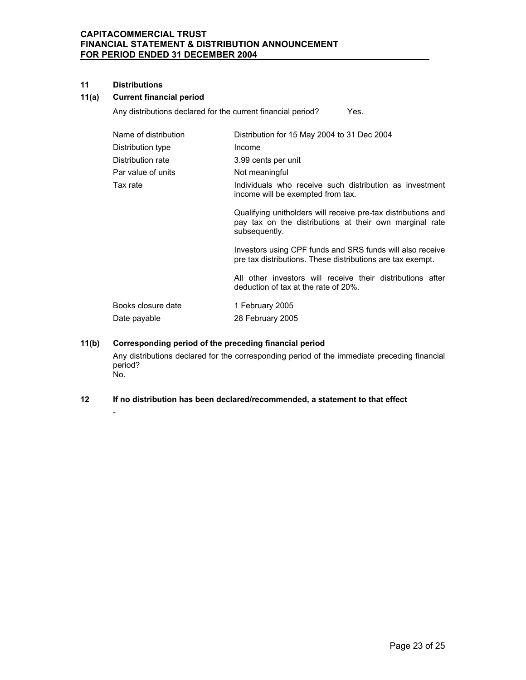### **11 Distributions**

 $\sim$  -  $\sim$   $-$ 

# **11(a) Current financial period**

Any distributions declared for the current financial period? Yes.

| Distribution for 15 May 2004 to 31 Dec 2004                                                                                               |
|-------------------------------------------------------------------------------------------------------------------------------------------|
| Income                                                                                                                                    |
| 3.99 cents per unit                                                                                                                       |
| Not meaningful                                                                                                                            |
| Individuals who receive such distribution as investment<br>income will be exempted from tax.                                              |
| Qualifying unitholders will receive pre-tax distributions and<br>pay tax on the distributions at their own marginal rate<br>subsequently. |
| Investors using CPF funds and SRS funds will also receive<br>pre tax distributions. These distributions are tax exempt.                   |
| All other investors will receive their distributions after<br>deduction of tax at the rate of 20%.                                        |
| 1 February 2005                                                                                                                           |
| 28 February 2005                                                                                                                          |
|                                                                                                                                           |

# **11(b) Corresponding period of the preceding financial period**

Any distributions declared for the corresponding period of the immediate preceding financial period? No.

### **12 If no distribution has been declared/recommended, a statement to that effect**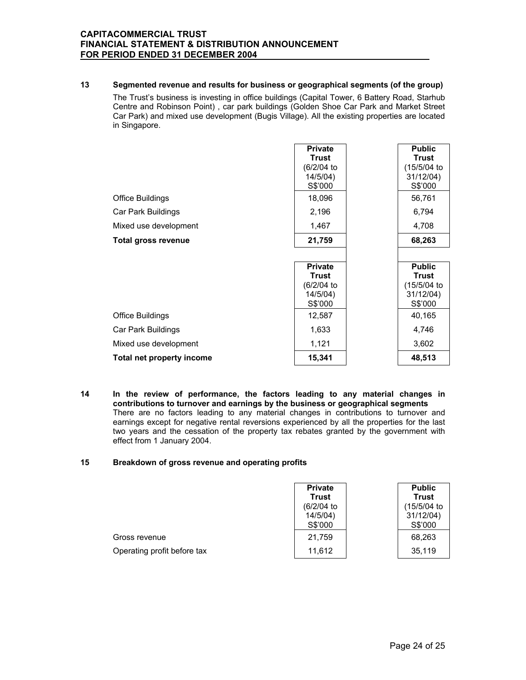### **13 Segmented revenue and results for business or geographical segments (of the group)**

The Trust's business is investing in office buildings (Capital Tower, 6 Battery Road, Starhub Centre and Robinson Point) , car park buildings (Golden Shoe Car Park and Market Street Car Park) and mixed use development (Bugis Village). All the existing properties are located in Singapore.

| <b>Office Buildings</b>    | <b>Private</b><br>Trust<br>(6/2/04 to<br>14/5/04)<br>S\$'000<br>18,096 | <b>Public</b><br>Trust<br>(15/5/04 to<br>31/12/04)<br>S\$'000<br>56,761 |
|----------------------------|------------------------------------------------------------------------|-------------------------------------------------------------------------|
| Car Park Buildings         | 2,196                                                                  | 6,794                                                                   |
| Mixed use development      | 1,467                                                                  | 4,708                                                                   |
| <b>Total gross revenue</b> | 21,759                                                                 | 68,263                                                                  |
|                            |                                                                        |                                                                         |
|                            | <b>Private</b><br><b>Trust</b><br>(6/2/04 to<br>14/5/04)<br>S\$'000    | <b>Public</b><br>Trust<br>(15/5/04 to<br>31/12/04)<br>S\$'000           |
| <b>Office Buildings</b>    | 12,587                                                                 | 40,165                                                                  |
| Car Park Buildings         | 1,633                                                                  | 4,746                                                                   |
| Mixed use development      | 1,121                                                                  | 3,602                                                                   |
| Total net property income  | 15,341                                                                 | 48,513                                                                  |

**14 In the review of performance, the factors leading to any material changes in contributions to turnover and earnings by the business or geographical segments**  There are no factors leading to any material changes in contributions to turnover and earnings except for negative rental reversions experienced by all the properties for the last two years and the cessation of the property tax rebates granted by the government with effect from 1 January 2004.

### **15 Breakdown of gross revenue and operating profits**

|                             | <b>Private</b><br><b>Trust</b><br>(6/2/04)<br>14/5/04)<br>S\$'000 | <b>Public</b><br><b>Trust</b><br>(15/5/04 to<br>31/12/04)<br>S\$'000 |
|-----------------------------|-------------------------------------------------------------------|----------------------------------------------------------------------|
| Gross revenue               | 21,759                                                            | 68,263                                                               |
| Operating profit before tax | 11,612                                                            | 35,119                                                               |